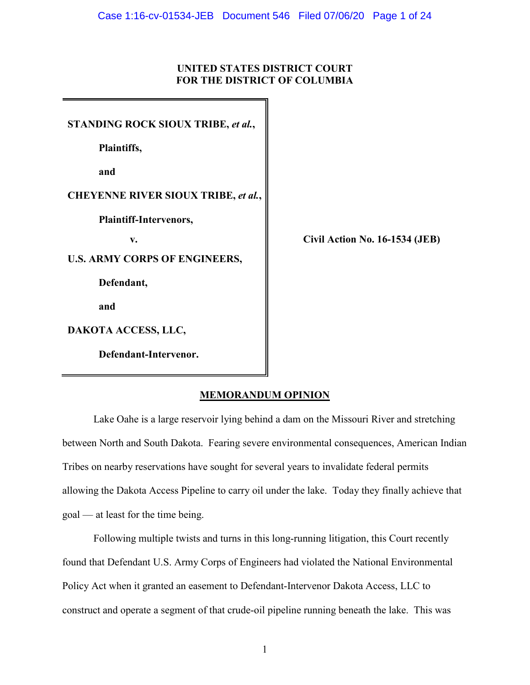# **UNITED STATES DISTRICT COURT FOR THE DISTRICT OF COLUMBIA**

**STANDING ROCK SIOUX TRIBE,** *et al.***, Plaintiffs, and CHEYENNE RIVER SIOUX TRIBE,** *et al.***, Plaintiff-Intervenors, v. Civil Action No. 16-1534 (JEB) U.S. ARMY CORPS OF ENGINEERS, Defendant, and DAKOTA ACCESS, LLC, Defendant-Intervenor.**

# **MEMORANDUM OPINION**

Lake Oahe is a large reservoir lying behind a dam on the Missouri River and stretching between North and South Dakota. Fearing severe environmental consequences, American Indian Tribes on nearby reservations have sought for several years to invalidate federal permits allowing the Dakota Access Pipeline to carry oil under the lake. Today they finally achieve that goal — at least for the time being.

Following multiple twists and turns in this long-running litigation, this Court recently found that Defendant U.S. Army Corps of Engineers had violated the National Environmental Policy Act when it granted an easement to Defendant-Intervenor Dakota Access, LLC to construct and operate a segment of that crude-oil pipeline running beneath the lake. This was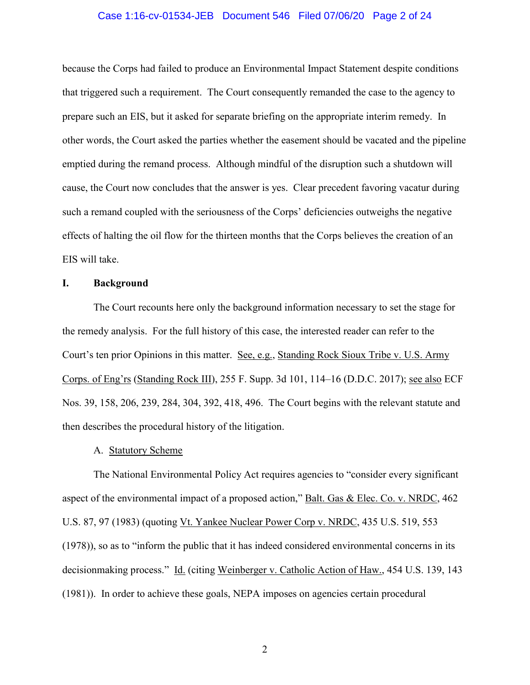# Case 1:16-cv-01534-JEB Document 546 Filed 07/06/20 Page 2 of 24

because the Corps had failed to produce an Environmental Impact Statement despite conditions that triggered such a requirement. The Court consequently remanded the case to the agency to prepare such an EIS, but it asked for separate briefing on the appropriate interim remedy. In other words, the Court asked the parties whether the easement should be vacated and the pipeline emptied during the remand process. Although mindful of the disruption such a shutdown will cause, the Court now concludes that the answer is yes. Clear precedent favoring vacatur during such a remand coupled with the seriousness of the Corps' deficiencies outweighs the negative effects of halting the oil flow for the thirteen months that the Corps believes the creation of an EIS will take.

# **I. Background**

The Court recounts here only the background information necessary to set the stage for the remedy analysis. For the full history of this case, the interested reader can refer to the Court's ten prior Opinions in this matter. See, e.g., Standing Rock Sioux Tribe v. U.S. Army Corps. of Eng'rs (Standing Rock III), 255 F. Supp. 3d 101, 114–16 (D.D.C. 2017); see also ECF Nos. 39, 158, 206, 239, 284, 304, 392, 418, 496. The Court begins with the relevant statute and then describes the procedural history of the litigation.

#### A. Statutory Scheme

The National Environmental Policy Act requires agencies to "consider every significant aspect of the environmental impact of a proposed action," Balt. Gas & Elec. Co. v. NRDC, 462 U.S. 87, 97 (1983) (quoting Vt. Yankee Nuclear Power Corp v. NRDC, 435 U.S. 519, 553 (1978)), so as to "inform the public that it has indeed considered environmental concerns in its decisionmaking process." Id. (citing Weinberger v. Catholic Action of Haw., 454 U.S. 139, 143 (1981)). In order to achieve these goals, NEPA imposes on agencies certain procedural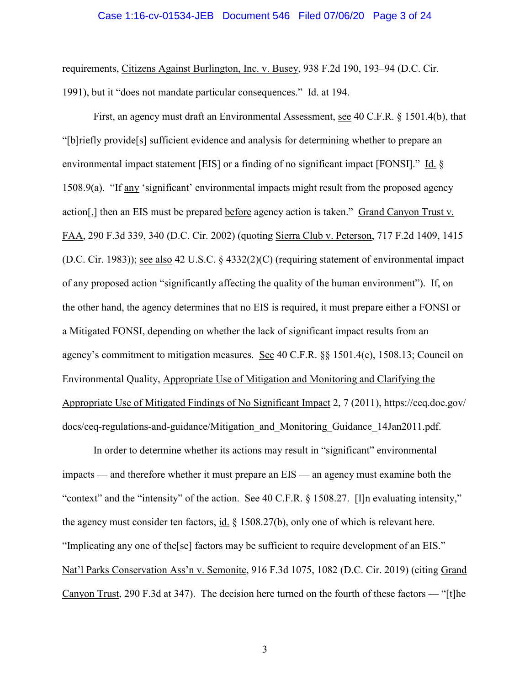# Case 1:16-cv-01534-JEB Document 546 Filed 07/06/20 Page 3 of 24

requirements, Citizens Against Burlington, Inc. v. Busey, 938 F.2d 190, 193–94 (D.C. Cir. 1991), but it "does not mandate particular consequences." Id. at 194.

First, an agency must draft an Environmental Assessment, see 40 C.F.R. § 1501.4(b), that "[b]riefly provide[s] sufficient evidence and analysis for determining whether to prepare an environmental impact statement [EIS] or a finding of no significant impact [FONSI]." Id. § 1508.9(a). "If any 'significant' environmental impacts might result from the proposed agency action[,] then an EIS must be prepared before agency action is taken." Grand Canyon Trust v. FAA, 290 F.3d 339, 340 (D.C. Cir. 2002) (quoting Sierra Club v. Peterson, 717 F.2d 1409, 1415 (D.C. Cir. 1983)); see also 42 U.S.C. § 4332(2)(C) (requiring statement of environmental impact of any proposed action "significantly affecting the quality of the human environment"). If, on the other hand, the agency determines that no EIS is required, it must prepare either a FONSI or a Mitigated FONSI, depending on whether the lack of significant impact results from an agency's commitment to mitigation measures. See 40 C.F.R. §§ 1501.4(e), 1508.13; Council on Environmental Quality, Appropriate Use of Mitigation and Monitoring and Clarifying the Appropriate Use of Mitigated Findings of No Significant Impact 2, 7 (2011), https://ceq.doe.gov/ docs/ceq-regulations-and-guidance/Mitigation\_and\_Monitoring\_Guidance\_14Jan2011.pdf.

In order to determine whether its actions may result in "significant" environmental impacts — and therefore whether it must prepare an EIS — an agency must examine both the "context" and the "intensity" of the action. See 40 C.F.R. § 1508.27. [I]n evaluating intensity," the agency must consider ten factors,  $\underline{\text{id}}$ . § 1508.27(b), only one of which is relevant here. "Implicating any one of the[se] factors may be sufficient to require development of an EIS." Nat'l Parks Conservation Ass'n v. Semonite, 916 F.3d 1075, 1082 (D.C. Cir. 2019) (citing Grand Canyon Trust, 290 F.3d at 347). The decision here turned on the fourth of these factors — "[t]he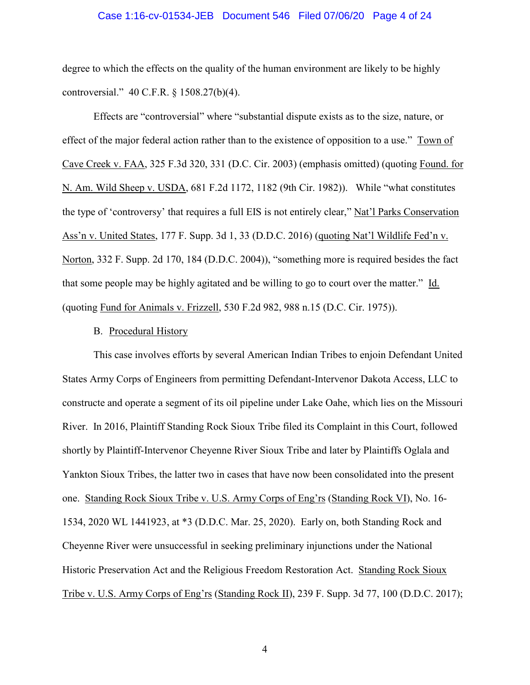#### Case 1:16-cv-01534-JEB Document 546 Filed 07/06/20 Page 4 of 24

degree to which the effects on the quality of the human environment are likely to be highly controversial." 40 C.F.R. § 1508.27(b)(4).

Effects are "controversial" where "substantial dispute exists as to the size, nature, or effect of the major federal action rather than to the existence of opposition to a use." Town of Cave Creek v. FAA, 325 F.3d 320, 331 (D.C. Cir. 2003) (emphasis omitted) (quoting Found. for N. Am. Wild Sheep v. USDA, 681 F.2d 1172, 1182 (9th Cir. 1982)). While "what constitutes the type of 'controversy' that requires a full EIS is not entirely clear," Nat'l Parks Conservation Ass'n v. United States, 177 F. Supp. 3d 1, 33 (D.D.C. 2016) (quoting Nat'l Wildlife Fed'n v. Norton, 332 F. Supp. 2d 170, 184 (D.D.C. 2004)), "something more is required besides the fact that some people may be highly agitated and be willing to go to court over the matter." Id. (quoting Fund for Animals v. Frizzell, 530 F.2d 982, 988 n.15 (D.C. Cir. 1975)).

# B. Procedural History

This case involves efforts by several American Indian Tribes to enjoin Defendant United States Army Corps of Engineers from permitting Defendant-Intervenor Dakota Access, LLC to constructe and operate a segment of its oil pipeline under Lake Oahe, which lies on the Missouri River. In 2016, Plaintiff Standing Rock Sioux Tribe filed its Complaint in this Court, followed shortly by Plaintiff-Intervenor Cheyenne River Sioux Tribe and later by Plaintiffs Oglala and Yankton Sioux Tribes, the latter two in cases that have now been consolidated into the present one. Standing Rock Sioux Tribe v. U.S. Army Corps of Eng'rs (Standing Rock VI), No. 16- 1534, 2020 WL 1441923, at \*3 (D.D.C. Mar. 25, 2020). Early on, both Standing Rock and Cheyenne River were unsuccessful in seeking preliminary injunctions under the National Historic Preservation Act and the Religious Freedom Restoration Act. Standing Rock Sioux Tribe v. U.S. Army Corps of Eng'rs (Standing Rock II), 239 F. Supp. 3d 77, 100 (D.D.C. 2017);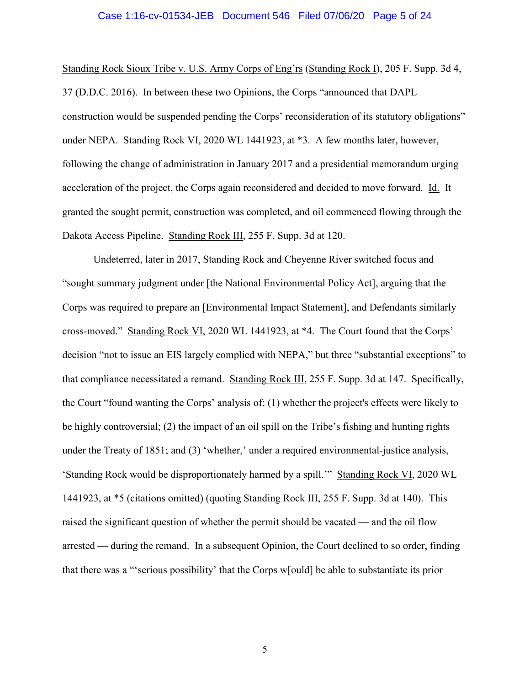# Case 1:16-cv-01534-JEB Document 546 Filed 07/06/20 Page 5 of 24

Standing Rock Sioux Tribe v. U.S. Army Corps of Eng'rs (Standing Rock I), 205 F. Supp. 3d 4, 37 (D.D.C. 2016). In between these two Opinions, the Corps "announced that DAPL construction would be suspended pending the Corps' reconsideration of its statutory obligations" under NEPA. Standing Rock VI, 2020 WL 1441923, at \*3. A few months later, however, following the change of administration in January 2017 and a presidential memorandum urging acceleration of the project, the Corps again reconsidered and decided to move forward. Id. It granted the sought permit, construction was completed, and oil commenced flowing through the Dakota Access Pipeline. Standing Rock III, 255 F. Supp. 3d at 120.

Undeterred, later in 2017, Standing Rock and Cheyenne River switched focus and "sought summary judgment under [the National Environmental Policy Act], arguing that the Corps was required to prepare an [Environmental Impact Statement], and Defendants similarly cross-moved." Standing Rock VI, 2020 WL 1441923, at \*4. The Court found that the Corps' decision "not to issue an EIS largely complied with NEPA," but three "substantial exceptions" to that compliance necessitated a remand. Standing Rock III, 255 F. Supp. 3d at 147. Specifically, the Court "found wanting the Corps' analysis of: (1) whether the project's effects were likely to be highly controversial; (2) the impact of an oil spill on the Tribe's fishing and hunting rights under the Treaty of 1851; and (3) 'whether,' under a required environmental-justice analysis, 'Standing Rock would be disproportionately harmed by a spill.'" Standing Rock VI, 2020 WL 1441923, at \*5 (citations omitted) (quoting Standing Rock III, 255 F. Supp. 3d at 140). This raised the significant question of whether the permit should be vacated — and the oil flow arrested — during the remand. In a subsequent Opinion, the Court declined to so order, finding that there was a "'serious possibility' that the Corps w[ould] be able to substantiate its prior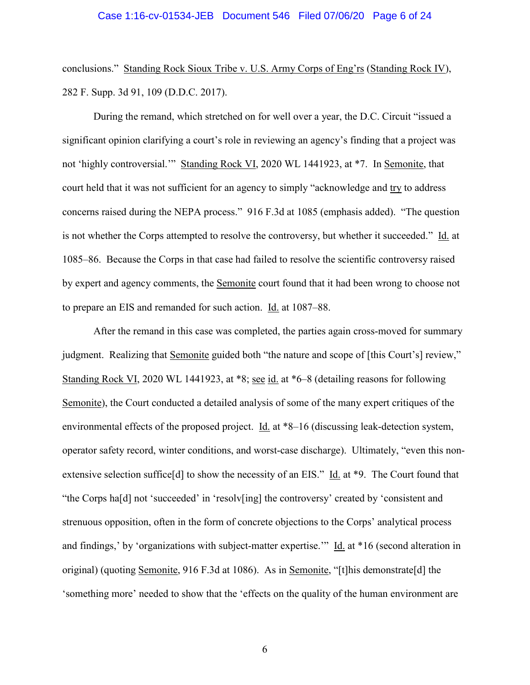conclusions." Standing Rock Sioux Tribe v. U.S. Army Corps of Eng'rs (Standing Rock IV), 282 F. Supp. 3d 91, 109 (D.D.C. 2017).

During the remand, which stretched on for well over a year, the D.C. Circuit "issued a significant opinion clarifying a court's role in reviewing an agency's finding that a project was not 'highly controversial.'" Standing Rock VI, 2020 WL 1441923, at \*7. In Semonite, that court held that it was not sufficient for an agency to simply "acknowledge and try to address concerns raised during the NEPA process." 916 F.3d at 1085 (emphasis added). "The question is not whether the Corps attempted to resolve the controversy, but whether it succeeded." Id. at 1085–86. Because the Corps in that case had failed to resolve the scientific controversy raised by expert and agency comments, the Semonite court found that it had been wrong to choose not to prepare an EIS and remanded for such action. Id. at 1087–88.

After the remand in this case was completed, the parties again cross-moved for summary judgment. Realizing that Semonite guided both "the nature and scope of [this Court's] review," Standing Rock VI, 2020 WL 1441923, at \*8; see id. at \*6–8 (detailing reasons for following Semonite), the Court conducted a detailed analysis of some of the many expert critiques of the environmental effects of the proposed project. Id. at \*8–16 (discussing leak-detection system, operator safety record, winter conditions, and worst-case discharge). Ultimately, "even this nonextensive selection suffice[d] to show the necessity of an EIS." Id. at \*9. The Court found that "the Corps ha[d] not 'succeeded' in 'resolv[ing] the controversy' created by 'consistent and strenuous opposition, often in the form of concrete objections to the Corps' analytical process and findings,' by 'organizations with subject-matter expertise.'" Id. at \*16 (second alteration in original) (quoting Semonite, 916 F.3d at 1086). As in Semonite, "[t]his demonstrate[d] the 'something more' needed to show that the 'effects on the quality of the human environment are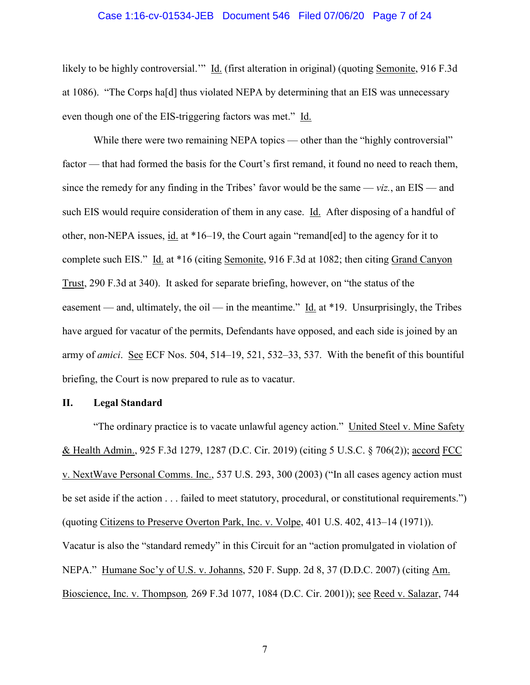# Case 1:16-cv-01534-JEB Document 546 Filed 07/06/20 Page 7 of 24

likely to be highly controversial." Id. (first alteration in original) (quoting Semonite, 916 F.3d at 1086). "The Corps ha[d] thus violated NEPA by determining that an EIS was unnecessary even though one of the EIS-triggering factors was met." Id.

While there were two remaining NEPA topics — other than the "highly controversial" factor — that had formed the basis for the Court's first remand, it found no need to reach them, since the remedy for any finding in the Tribes' favor would be the same  $viz$ , an  $EIS$  — and such EIS would require consideration of them in any case. Id. After disposing of a handful of other, non-NEPA issues, id. at \*16–19, the Court again "remand[ed] to the agency for it to complete such EIS." Id. at \*16 (citing Semonite, 916 F.3d at 1082; then citing Grand Canyon Trust, 290 F.3d at 340). It asked for separate briefing, however, on "the status of the easement — and, ultimately, the oil — in the meantime." Id. at \*19. Unsurprisingly, the Tribes have argued for vacatur of the permits, Defendants have opposed, and each side is joined by an army of *amici*. See ECF Nos. 504, 514–19, 521, 532–33, 537. With the benefit of this bountiful briefing, the Court is now prepared to rule as to vacatur.

### **II. Legal Standard**

"The ordinary practice is to vacate unlawful agency action." United Steel v. Mine Safety & Health Admin., 925 F.3d 1279, 1287 (D.C. Cir. 2019) (citing 5 U.S.C. § 706(2)); accord FCC v. NextWave Personal Comms. Inc., 537 U.S. 293, 300 (2003) ("In all cases agency action must be set aside if the action . . . failed to meet statutory, procedural, or constitutional requirements.") (quoting Citizens to Preserve Overton Park, Inc. v. Volpe, 401 U.S. 402, 413–14 (1971)). Vacatur is also the "standard remedy" in this Circuit for an "action promulgated in violation of NEPA." Humane Soc'y of U.S. v. Johanns, 520 F. Supp. 2d 8, 37 (D.D.C. 2007) (citing Am. Bioscience, Inc. v. Thompson*,* 269 F.3d 1077, 1084 (D.C. Cir. 2001)); see Reed v. Salazar, 744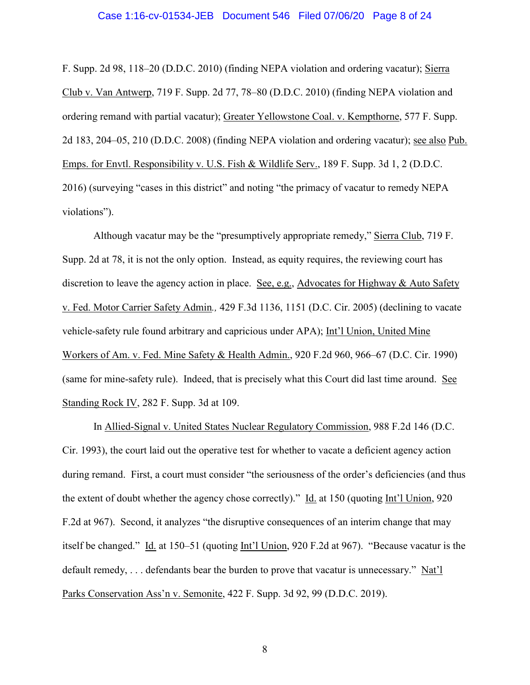#### Case 1:16-cv-01534-JEB Document 546 Filed 07/06/20 Page 8 of 24

F. Supp. 2d 98, 118–20 (D.D.C. 2010) (finding NEPA violation and ordering vacatur); Sierra Club v. Van Antwerp, 719 F. Supp. 2d 77, 78–80 (D.D.C. 2010) (finding NEPA violation and ordering remand with partial vacatur); Greater Yellowstone Coal. v. Kempthorne, 577 F. Supp. 2d 183, 204–05, 210 (D.D.C. 2008) (finding NEPA violation and ordering vacatur); see also Pub. Emps. for Envtl. Responsibility v. U.S. Fish & Wildlife Serv., 189 F. Supp. 3d 1, 2 (D.D.C. 2016) (surveying "cases in this district" and noting "the primacy of vacatur to remedy NEPA violations").

Although vacatur may be the "presumptively appropriate remedy," Sierra Club, 719 F. Supp. 2d at 78, it is not the only option. Instead, as equity requires, the reviewing court has discretion to leave the agency action in place. See, e.g., Advocates for Highway & Auto Safety v. Fed. Motor Carrier Safety Admin*.,* 429 F.3d 1136, 1151 (D.C. Cir. 2005) (declining to vacate vehicle-safety rule found arbitrary and capricious under APA); Int'l Union, United Mine Workers of Am. v. Fed. Mine Safety & Health Admin., 920 F.2d 960, 966–67 (D.C. Cir. 1990) (same for mine-safety rule). Indeed, that is precisely what this Court did last time around. See Standing Rock IV, 282 F. Supp. 3d at 109.

In Allied-Signal v. United States Nuclear Regulatory Commission, 988 F.2d 146 (D.C. Cir. 1993), the court laid out the operative test for whether to vacate a deficient agency action during remand. First, a court must consider "the seriousness of the order's deficiencies (and thus the extent of doubt whether the agency chose correctly)." Id. at 150 (quoting Int'l Union, 920 F.2d at 967). Second, it analyzes "the disruptive consequences of an interim change that may itself be changed." Id. at 150–51 (quoting Int'l Union, 920 F.2d at 967). "Because vacatur is the default remedy, . . . defendants bear the burden to prove that vacatur is unnecessary." Nat'l Parks Conservation Ass'n v. Semonite, 422 F. Supp. 3d 92, 99 (D.D.C. 2019).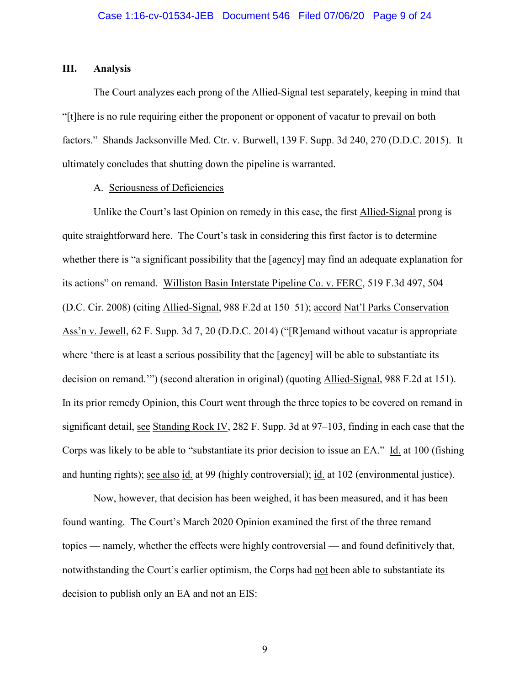# **III. Analysis**

The Court analyzes each prong of the Allied-Signal test separately, keeping in mind that "[t]here is no rule requiring either the proponent or opponent of vacatur to prevail on both factors." Shands Jacksonville Med. Ctr. v. Burwell, 139 F. Supp. 3d 240, 270 (D.D.C. 2015). It ultimately concludes that shutting down the pipeline is warranted.

# A. Seriousness of Deficiencies

Unlike the Court's last Opinion on remedy in this case, the first Allied-Signal prong is quite straightforward here. The Court's task in considering this first factor is to determine whether there is "a significant possibility that the [agency] may find an adequate explanation for its actions" on remand. Williston Basin Interstate Pipeline Co. v. FERC, 519 F.3d 497, 504 (D.C. Cir. 2008) (citing Allied-Signal, 988 F.2d at 150–51); accord Nat'l Parks Conservation Ass'n v. Jewell, 62 F. Supp. 3d 7, 20 (D.D.C. 2014) ("[R]emand without vacatur is appropriate where 'there is at least a serious possibility that the [agency] will be able to substantiate its decision on remand.'") (second alteration in original) (quoting Allied-Signal, 988 F.2d at 151). In its prior remedy Opinion, this Court went through the three topics to be covered on remand in significant detail, see Standing Rock IV, 282 F. Supp. 3d at 97–103, finding in each case that the Corps was likely to be able to "substantiate its prior decision to issue an EA." Id. at 100 (fishing and hunting rights); see also id. at 99 (highly controversial); id. at 102 (environmental justice).

Now, however, that decision has been weighed, it has been measured, and it has been found wanting. The Court's March 2020 Opinion examined the first of the three remand topics — namely, whether the effects were highly controversial — and found definitively that, notwithstanding the Court's earlier optimism, the Corps had not been able to substantiate its decision to publish only an EA and not an EIS: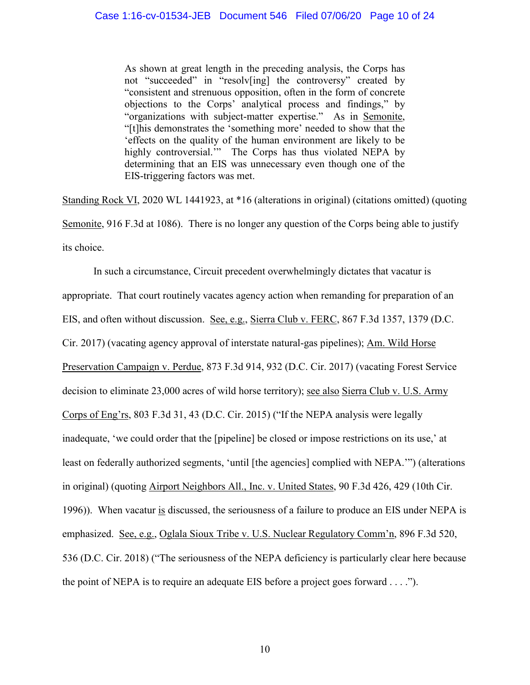As shown at great length in the preceding analysis, the Corps has not "succeeded" in "resolv[ing] the controversy" created by "consistent and strenuous opposition, often in the form of concrete objections to the Corps' analytical process and findings," by "organizations with subject-matter expertise." As in Semonite, "[t]his demonstrates the 'something more' needed to show that the 'effects on the quality of the human environment are likely to be highly controversial." The Corps has thus violated NEPA by determining that an EIS was unnecessary even though one of the EIS-triggering factors was met.

Standing Rock VI, 2020 WL 1441923, at \*16 (alterations in original) (citations omitted) (quoting Semonite, 916 F.3d at 1086). There is no longer any question of the Corps being able to justify its choice.

In such a circumstance, Circuit precedent overwhelmingly dictates that vacatur is appropriate. That court routinely vacates agency action when remanding for preparation of an EIS, and often without discussion. See, e.g., Sierra Club v. FERC, 867 F.3d 1357, 1379 (D.C. Cir. 2017) (vacating agency approval of interstate natural-gas pipelines); Am. Wild Horse Preservation Campaign v. Perdue, 873 F.3d 914, 932 (D.C. Cir. 2017) (vacating Forest Service decision to eliminate 23,000 acres of wild horse territory); see also Sierra Club v. U.S. Army Corps of Eng'rs, 803 F.3d 31, 43 (D.C. Cir. 2015) ("If the NEPA analysis were legally inadequate, 'we could order that the [pipeline] be closed or impose restrictions on its use,' at least on federally authorized segments, 'until [the agencies] complied with NEPA.'") (alterations in original) (quoting Airport Neighbors All., Inc. v. United States, 90 F.3d 426, 429 (10th Cir. 1996)). When vacatur is discussed, the seriousness of a failure to produce an EIS under NEPA is emphasized. See, e.g., Oglala Sioux Tribe v. U.S. Nuclear Regulatory Comm'n, 896 F.3d 520, 536 (D.C. Cir. 2018) ("The seriousness of the NEPA deficiency is particularly clear here because the point of NEPA is to require an adequate EIS before a project goes forward . . . .").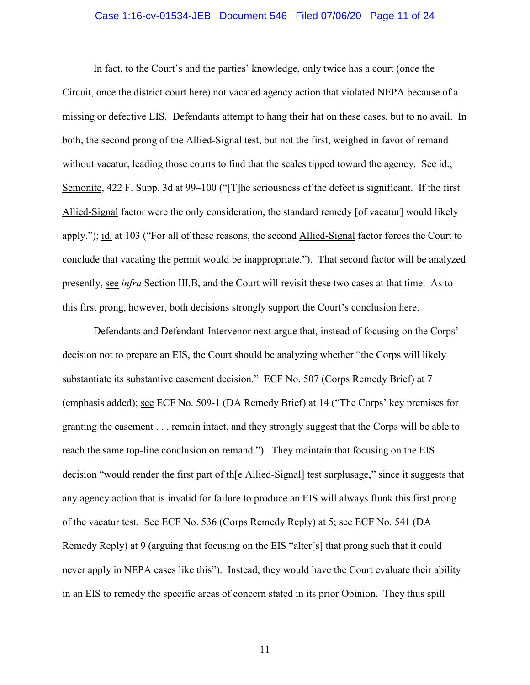## Case 1:16-cv-01534-JEB Document 546 Filed 07/06/20 Page 11 of 24

In fact, to the Court's and the parties' knowledge, only twice has a court (once the Circuit, once the district court here) not vacated agency action that violated NEPA because of a missing or defective EIS. Defendants attempt to hang their hat on these cases, but to no avail. In both, the second prong of the Allied-Signal test, but not the first, weighed in favor of remand without vacatur, leading those courts to find that the scales tipped toward the agency. See id.; Semonite, 422 F. Supp. 3d at 99–100 ("[T]he seriousness of the defect is significant. If the first Allied-Signal factor were the only consideration, the standard remedy [of vacatur] would likely apply."); id. at 103 ("For all of these reasons, the second Allied-Signal factor forces the Court to conclude that vacating the permit would be inappropriate."). That second factor will be analyzed presently, see *infra* Section III.B, and the Court will revisit these two cases at that time. As to this first prong, however, both decisions strongly support the Court's conclusion here.

Defendants and Defendant-Intervenor next argue that, instead of focusing on the Corps' decision not to prepare an EIS, the Court should be analyzing whether "the Corps will likely substantiate its substantive easement decision." ECF No. 507 (Corps Remedy Brief) at 7 (emphasis added); see ECF No. 509-1 (DA Remedy Brief) at 14 ("The Corps' key premises for granting the easement . . . remain intact, and they strongly suggest that the Corps will be able to reach the same top-line conclusion on remand."). They maintain that focusing on the EIS decision "would render the first part of th[e Allied-Signal] test surplusage," since it suggests that any agency action that is invalid for failure to produce an EIS will always flunk this first prong of the vacatur test. See ECF No. 536 (Corps Remedy Reply) at 5; see ECF No. 541 (DA Remedy Reply) at 9 (arguing that focusing on the EIS "alter[s] that prong such that it could never apply in NEPA cases like this"). Instead, they would have the Court evaluate their ability in an EIS to remedy the specific areas of concern stated in its prior Opinion. They thus spill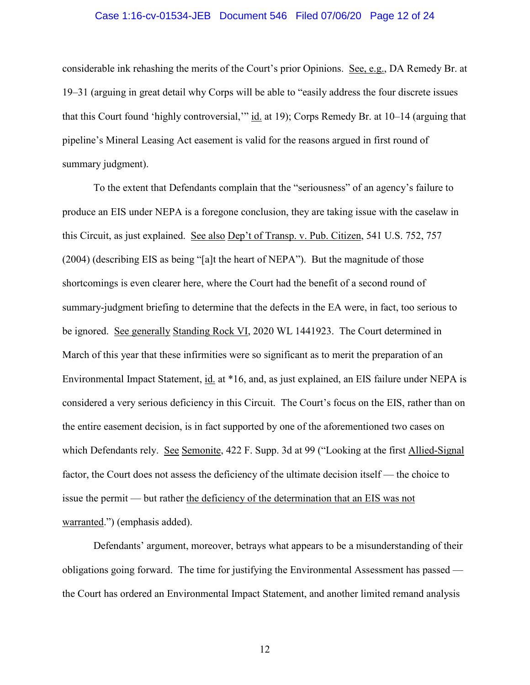### Case 1:16-cv-01534-JEB Document 546 Filed 07/06/20 Page 12 of 24

considerable ink rehashing the merits of the Court's prior Opinions. See, e.g., DA Remedy Br. at 19–31 (arguing in great detail why Corps will be able to "easily address the four discrete issues that this Court found 'highly controversial,'" id. at 19); Corps Remedy Br. at 10–14 (arguing that pipeline's Mineral Leasing Act easement is valid for the reasons argued in first round of summary judgment).

To the extent that Defendants complain that the "seriousness" of an agency's failure to produce an EIS under NEPA is a foregone conclusion, they are taking issue with the caselaw in this Circuit, as just explained. See also Dep't of Transp. v. Pub. Citizen, 541 U.S. 752, 757 (2004) (describing EIS as being "[a]t the heart of NEPA"). But the magnitude of those shortcomings is even clearer here, where the Court had the benefit of a second round of summary-judgment briefing to determine that the defects in the EA were, in fact, too serious to be ignored. See generally Standing Rock VI, 2020 WL 1441923. The Court determined in March of this year that these infirmities were so significant as to merit the preparation of an Environmental Impact Statement, id. at \*16, and, as just explained, an EIS failure under NEPA is considered a very serious deficiency in this Circuit. The Court's focus on the EIS, rather than on the entire easement decision, is in fact supported by one of the aforementioned two cases on which Defendants rely. See Semonite, 422 F. Supp. 3d at 99 ("Looking at the first Allied-Signal factor, the Court does not assess the deficiency of the ultimate decision itself — the choice to issue the permit — but rather the deficiency of the determination that an EIS was not warranted.") (emphasis added).

Defendants' argument, moreover, betrays what appears to be a misunderstanding of their obligations going forward. The time for justifying the Environmental Assessment has passed the Court has ordered an Environmental Impact Statement, and another limited remand analysis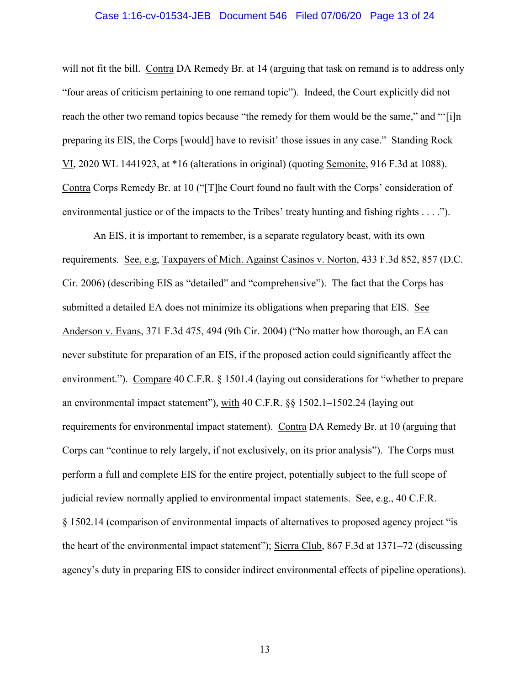### Case 1:16-cv-01534-JEB Document 546 Filed 07/06/20 Page 13 of 24

will not fit the bill. Contra DA Remedy Br. at 14 (arguing that task on remand is to address only "four areas of criticism pertaining to one remand topic"). Indeed, the Court explicitly did not reach the other two remand topics because "the remedy for them would be the same," and "'[i]n preparing its EIS, the Corps [would] have to revisit' those issues in any case." Standing Rock VI, 2020 WL 1441923, at \*16 (alterations in original) (quoting Semonite, 916 F.3d at 1088). Contra Corps Remedy Br. at 10 ("[T]he Court found no fault with the Corps' consideration of environmental justice or of the impacts to the Tribes' treaty hunting and fishing rights . . . .").

An EIS, it is important to remember, is a separate regulatory beast, with its own requirements. See, e.g, Taxpayers of Mich. Against Casinos v. Norton, 433 F.3d 852, 857 (D.C. Cir. 2006) (describing EIS as "detailed" and "comprehensive"). The fact that the Corps has submitted a detailed EA does not minimize its obligations when preparing that EIS. See Anderson v. Evans, 371 F.3d 475, 494 (9th Cir. 2004) ("No matter how thorough, an EA can never substitute for preparation of an EIS, if the proposed action could significantly affect the environment."). Compare 40 C.F.R. § 1501.4 (laying out considerations for "whether to prepare an environmental impact statement"), with 40 C.F.R. §§ 1502.1–1502.24 (laying out requirements for environmental impact statement). Contra DA Remedy Br. at 10 (arguing that Corps can "continue to rely largely, if not exclusively, on its prior analysis"). The Corps must perform a full and complete EIS for the entire project, potentially subject to the full scope of judicial review normally applied to environmental impact statements. See, e.g., 40 C.F.R. § 1502.14 (comparison of environmental impacts of alternatives to proposed agency project "is the heart of the environmental impact statement"); Sierra Club, 867 F.3d at 1371–72 (discussing agency's duty in preparing EIS to consider indirect environmental effects of pipeline operations).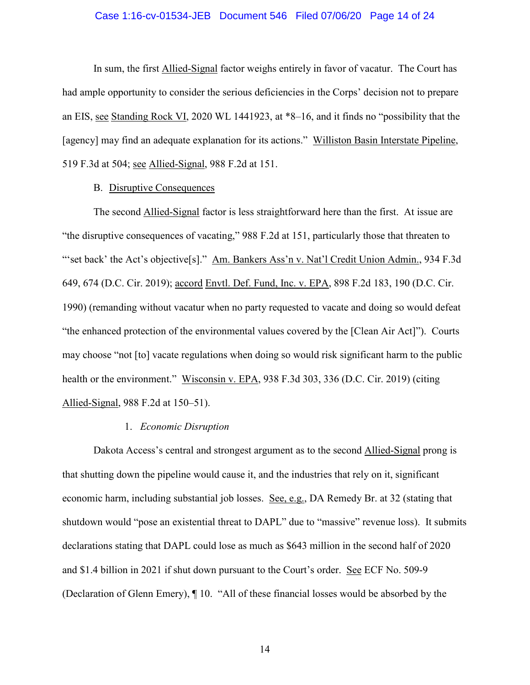## Case 1:16-cv-01534-JEB Document 546 Filed 07/06/20 Page 14 of 24

In sum, the first Allied-Signal factor weighs entirely in favor of vacatur. The Court has had ample opportunity to consider the serious deficiencies in the Corps' decision not to prepare an EIS, see Standing Rock VI, 2020 WL 1441923, at \*8–16, and it finds no "possibility that the [agency] may find an adequate explanation for its actions." Williston Basin Interstate Pipeline, 519 F.3d at 504; see Allied-Signal, 988 F.2d at 151.

# B. Disruptive Consequences

The second Allied-Signal factor is less straightforward here than the first. At issue are "the disruptive consequences of vacating," 988 F.2d at 151, particularly those that threaten to "set back' the Act's objective[s]." Am. Bankers Ass'n v. Nat'l Credit Union Admin., 934 F.3d 649, 674 (D.C. Cir. 2019); accord Envtl. Def. Fund, Inc. v. EPA, 898 F.2d 183, 190 (D.C. Cir. 1990) (remanding without vacatur when no party requested to vacate and doing so would defeat "the enhanced protection of the environmental values covered by the [Clean Air Act]"). Courts may choose "not [to] vacate regulations when doing so would risk significant harm to the public health or the environment." Wisconsin v. EPA, 938 F.3d 303, 336 (D.C. Cir. 2019) (citing Allied-Signal, 988 F.2d at 150–51).

#### 1. *Economic Disruption*

Dakota Access's central and strongest argument as to the second Allied-Signal prong is that shutting down the pipeline would cause it, and the industries that rely on it, significant economic harm, including substantial job losses. See, e.g., DA Remedy Br. at 32 (stating that shutdown would "pose an existential threat to DAPL" due to "massive" revenue loss). It submits declarations stating that DAPL could lose as much as \$643 million in the second half of 2020 and \$1.4 billion in 2021 if shut down pursuant to the Court's order. See ECF No. 509-9 (Declaration of Glenn Emery), ¶ 10. "All of these financial losses would be absorbed by the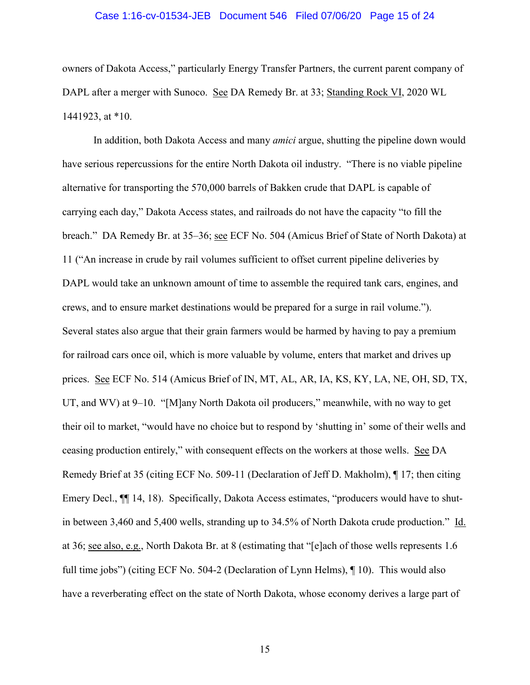#### Case 1:16-cv-01534-JEB Document 546 Filed 07/06/20 Page 15 of 24

owners of Dakota Access," particularly Energy Transfer Partners, the current parent company of DAPL after a merger with Sunoco. See DA Remedy Br. at 33; Standing Rock VI, 2020 WL 1441923, at \*10.

In addition, both Dakota Access and many *amici* argue, shutting the pipeline down would have serious repercussions for the entire North Dakota oil industry. "There is no viable pipeline alternative for transporting the 570,000 barrels of Bakken crude that DAPL is capable of carrying each day," Dakota Access states, and railroads do not have the capacity "to fill the breach." DA Remedy Br. at 35–36; see ECF No. 504 (Amicus Brief of State of North Dakota) at 11 ("An increase in crude by rail volumes sufficient to offset current pipeline deliveries by DAPL would take an unknown amount of time to assemble the required tank cars, engines, and crews, and to ensure market destinations would be prepared for a surge in rail volume."). Several states also argue that their grain farmers would be harmed by having to pay a premium for railroad cars once oil, which is more valuable by volume, enters that market and drives up prices. See ECF No. 514 (Amicus Brief of IN, MT, AL, AR, IA, KS, KY, LA, NE, OH, SD, TX, UT, and WV) at 9–10. "[M]any North Dakota oil producers," meanwhile, with no way to get their oil to market, "would have no choice but to respond by 'shutting in' some of their wells and ceasing production entirely," with consequent effects on the workers at those wells. See DA Remedy Brief at 35 (citing ECF No. 509-11 (Declaration of Jeff D. Makholm), ¶ 17; then citing Emery Decl.,  $\P$  14, 18). Specifically, Dakota Access estimates, "producers would have to shutin between 3,460 and 5,400 wells, stranding up to 34.5% of North Dakota crude production." Id. at 36; see also, e.g., North Dakota Br. at 8 (estimating that "[e]ach of those wells represents 1.6 full time jobs") (citing ECF No. 504-2 (Declaration of Lynn Helms), ¶ 10). This would also have a reverberating effect on the state of North Dakota, whose economy derives a large part of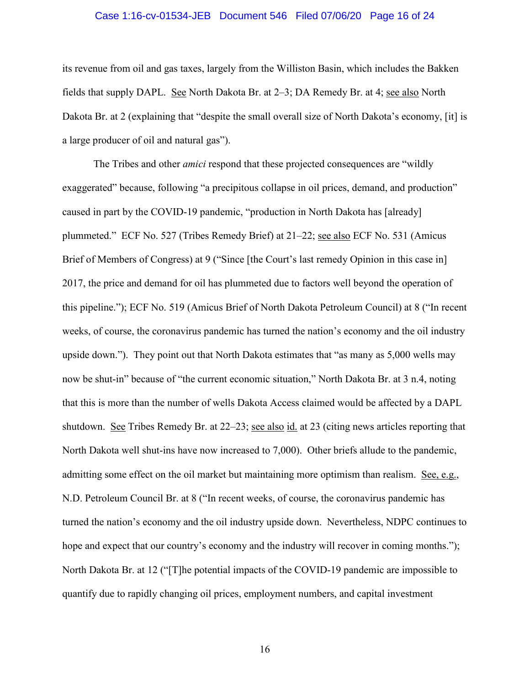### Case 1:16-cv-01534-JEB Document 546 Filed 07/06/20 Page 16 of 24

its revenue from oil and gas taxes, largely from the Williston Basin, which includes the Bakken fields that supply DAPL. See North Dakota Br. at 2–3; DA Remedy Br. at 4; see also North Dakota Br. at 2 (explaining that "despite the small overall size of North Dakota's economy, [it] is a large producer of oil and natural gas").

The Tribes and other *amici* respond that these projected consequences are "wildly exaggerated" because, following "a precipitous collapse in oil prices, demand, and production" caused in part by the COVID-19 pandemic, "production in North Dakota has [already] plummeted." ECF No. 527 (Tribes Remedy Brief) at 21–22; see also ECF No. 531 (Amicus Brief of Members of Congress) at 9 ("Since [the Court's last remedy Opinion in this case in] 2017, the price and demand for oil has plummeted due to factors well beyond the operation of this pipeline."); ECF No. 519 (Amicus Brief of North Dakota Petroleum Council) at 8 ("In recent weeks, of course, the coronavirus pandemic has turned the nation's economy and the oil industry upside down."). They point out that North Dakota estimates that "as many as 5,000 wells may now be shut-in" because of "the current economic situation," North Dakota Br. at 3 n.4, noting that this is more than the number of wells Dakota Access claimed would be affected by a DAPL shutdown. See Tribes Remedy Br. at 22–23; see also id. at 23 (citing news articles reporting that North Dakota well shut-ins have now increased to 7,000). Other briefs allude to the pandemic, admitting some effect on the oil market but maintaining more optimism than realism. See, e.g., N.D. Petroleum Council Br. at 8 ("In recent weeks, of course, the coronavirus pandemic has turned the nation's economy and the oil industry upside down. Nevertheless, NDPC continues to hope and expect that our country's economy and the industry will recover in coming months."); North Dakota Br. at 12 ("[T]he potential impacts of the COVID-19 pandemic are impossible to quantify due to rapidly changing oil prices, employment numbers, and capital investment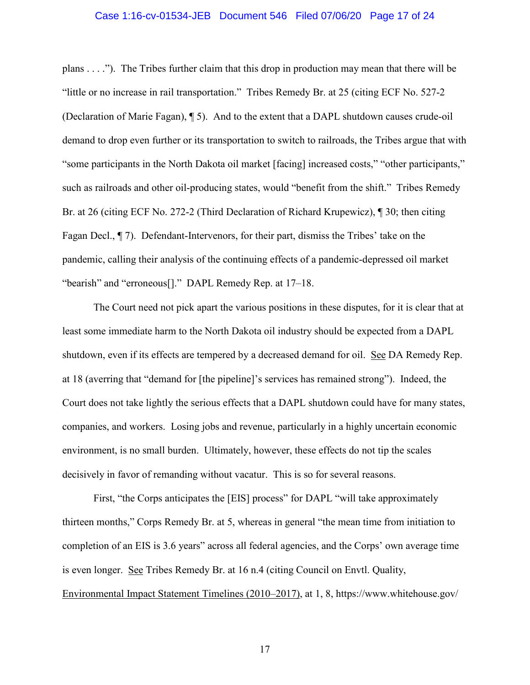### Case 1:16-cv-01534-JEB Document 546 Filed 07/06/20 Page 17 of 24

plans . . . ."). The Tribes further claim that this drop in production may mean that there will be "little or no increase in rail transportation." Tribes Remedy Br. at 25 (citing ECF No. 527-2 (Declaration of Marie Fagan), ¶ 5). And to the extent that a DAPL shutdown causes crude-oil demand to drop even further or its transportation to switch to railroads, the Tribes argue that with "some participants in the North Dakota oil market [facing] increased costs," "other participants," such as railroads and other oil-producing states, would "benefit from the shift." Tribes Remedy Br. at 26 (citing ECF No. 272-2 (Third Declaration of Richard Krupewicz), ¶ 30; then citing Fagan Decl., ¶ 7). Defendant-Intervenors, for their part, dismiss the Tribes' take on the pandemic, calling their analysis of the continuing effects of a pandemic-depressed oil market "bearish" and "erroneous[]." DAPL Remedy Rep. at 17–18.

The Court need not pick apart the various positions in these disputes, for it is clear that at least some immediate harm to the North Dakota oil industry should be expected from a DAPL shutdown, even if its effects are tempered by a decreased demand for oil. See DA Remedy Rep. at 18 (averring that "demand for [the pipeline]'s services has remained strong"). Indeed, the Court does not take lightly the serious effects that a DAPL shutdown could have for many states, companies, and workers. Losing jobs and revenue, particularly in a highly uncertain economic environment, is no small burden. Ultimately, however, these effects do not tip the scales decisively in favor of remanding without vacatur. This is so for several reasons.

First, "the Corps anticipates the [EIS] process" for DAPL "will take approximately thirteen months," Corps Remedy Br. at 5, whereas in general "the mean time from initiation to completion of an EIS is 3.6 years" across all federal agencies, and the Corps' own average time is even longer. See Tribes Remedy Br. at 16 n.4 (citing Council on Envtl. Quality, Environmental Impact Statement Timelines (2010–2017), at 1, 8, https://www.whitehouse.gov/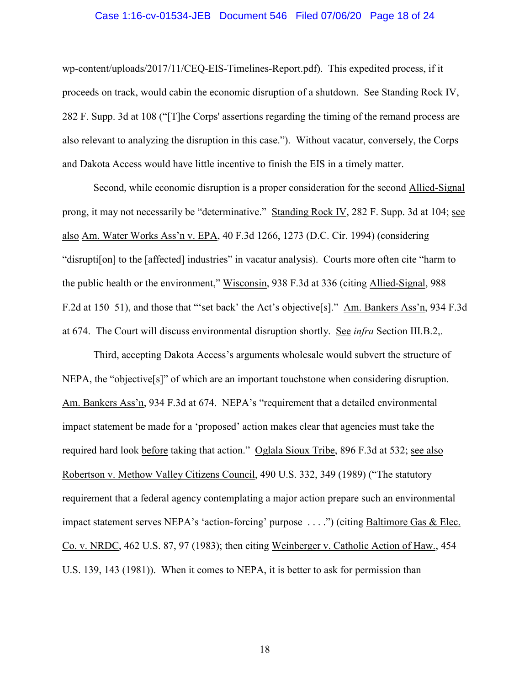#### Case 1:16-cv-01534-JEB Document 546 Filed 07/06/20 Page 18 of 24

wp-content/uploads/2017/11/CEQ-EIS-Timelines-Report.pdf). This expedited process, if it proceeds on track, would cabin the economic disruption of a shutdown. See Standing Rock IV, 282 F. Supp. 3d at 108 ("[T]he Corps' assertions regarding the timing of the remand process are also relevant to analyzing the disruption in this case."). Without vacatur, conversely, the Corps and Dakota Access would have little incentive to finish the EIS in a timely matter.

Second, while economic disruption is a proper consideration for the second Allied-Signal prong, it may not necessarily be "determinative." Standing Rock IV, 282 F. Supp. 3d at 104; see also Am. Water Works Ass'n v. EPA, 40 F.3d 1266, 1273 (D.C. Cir. 1994) (considering "disrupti[on] to the [affected] industries" in vacatur analysis). Courts more often cite "harm to the public health or the environment," Wisconsin, 938 F.3d at 336 (citing Allied-Signal, 988 F.2d at 150–51), and those that "'set back' the Act's objective[s]." Am. Bankers Ass'n, 934 F.3d at 674. The Court will discuss environmental disruption shortly. See *infra* Section III.B.2,.

Third, accepting Dakota Access's arguments wholesale would subvert the structure of NEPA, the "objective[s]" of which are an important touchstone when considering disruption. Am. Bankers Ass'n, 934 F.3d at 674. NEPA's "requirement that a detailed environmental impact statement be made for a 'proposed' action makes clear that agencies must take the required hard look before taking that action." Oglala Sioux Tribe, 896 F.3d at 532; see also Robertson v. Methow Valley Citizens Council, 490 U.S. 332, 349 (1989) ("The statutory requirement that a federal agency contemplating a major action prepare such an environmental impact statement serves NEPA's 'action-forcing' purpose ....") (citing Baltimore Gas & Elec. Co. v. NRDC, 462 U.S. 87, 97 (1983); then citing Weinberger v. Catholic Action of Haw., 454 U.S. 139, 143 (1981)). When it comes to NEPA, it is better to ask for permission than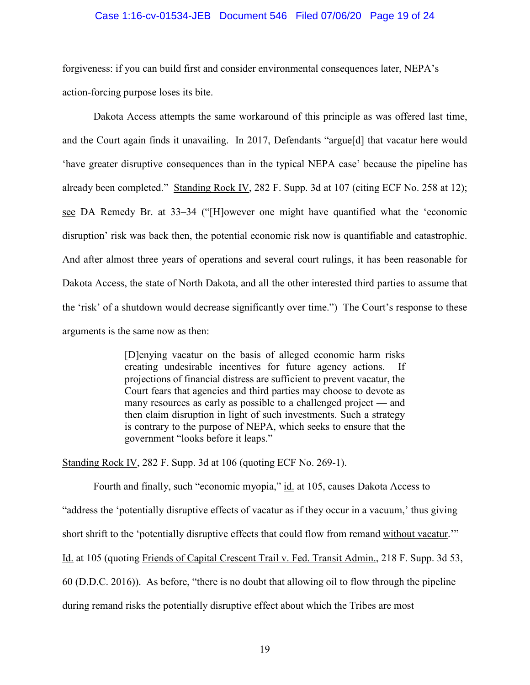#### Case 1:16-cv-01534-JEB Document 546 Filed 07/06/20 Page 19 of 24

forgiveness: if you can build first and consider environmental consequences later, NEPA's action-forcing purpose loses its bite.

Dakota Access attempts the same workaround of this principle as was offered last time, and the Court again finds it unavailing. In 2017, Defendants "argue[d] that vacatur here would 'have greater disruptive consequences than in the typical NEPA case' because the pipeline has already been completed." Standing Rock IV, 282 F. Supp. 3d at 107 (citing ECF No. 258 at 12); see DA Remedy Br. at 33–34 ("[H]owever one might have quantified what the 'economic disruption' risk was back then, the potential economic risk now is quantifiable and catastrophic. And after almost three years of operations and several court rulings, it has been reasonable for Dakota Access, the state of North Dakota, and all the other interested third parties to assume that the 'risk' of a shutdown would decrease significantly over time.") The Court's response to these arguments is the same now as then:

> [D]enying vacatur on the basis of alleged economic harm risks creating undesirable incentives for future agency actions. If projections of financial distress are sufficient to prevent vacatur, the Court fears that agencies and third parties may choose to devote as many resources as early as possible to a challenged project — and then claim disruption in light of such investments. Such a strategy is contrary to the purpose of NEPA, which seeks to ensure that the government "looks before it leaps."

Standing Rock IV, 282 F. Supp. 3d at 106 (quoting ECF No. 269-1).

Fourth and finally, such "economic myopia," id. at 105, causes Dakota Access to "address the 'potentially disruptive effects of vacatur as if they occur in a vacuum,' thus giving short shrift to the 'potentially disruptive effects that could flow from remand without vacatur.'" Id. at 105 (quoting Friends of Capital Crescent Trail v. Fed. Transit Admin., 218 F. Supp. 3d 53, 60 (D.D.C. 2016)). As before, "there is no doubt that allowing oil to flow through the pipeline during remand risks the potentially disruptive effect about which the Tribes are most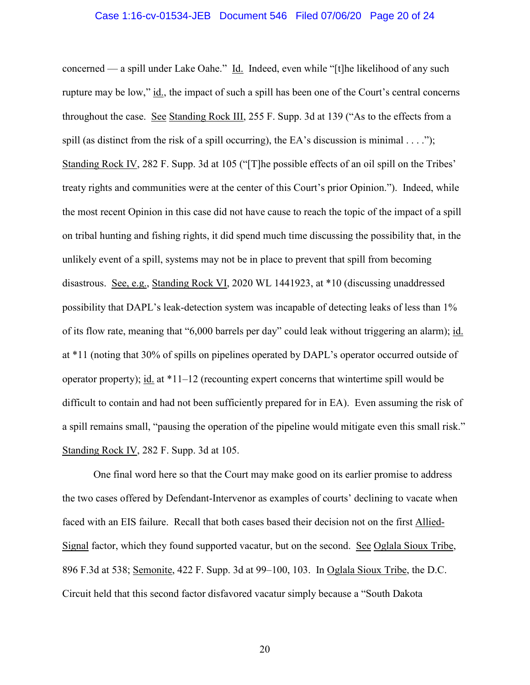### Case 1:16-cv-01534-JEB Document 546 Filed 07/06/20 Page 20 of 24

concerned — a spill under Lake Oahe." Id. Indeed, even while "[t]he likelihood of any such rupture may be low," id., the impact of such a spill has been one of the Court's central concerns throughout the case. See Standing Rock III, 255 F. Supp. 3d at 139 ("As to the effects from a spill (as distinct from the risk of a spill occurring), the EA's discussion is minimal  $\dots$ "); Standing Rock IV, 282 F. Supp. 3d at 105 ("[T]he possible effects of an oil spill on the Tribes' treaty rights and communities were at the center of this Court's prior Opinion."). Indeed, while the most recent Opinion in this case did not have cause to reach the topic of the impact of a spill on tribal hunting and fishing rights, it did spend much time discussing the possibility that, in the unlikely event of a spill, systems may not be in place to prevent that spill from becoming disastrous. See, e.g., Standing Rock VI, 2020 WL 1441923, at \*10 (discussing unaddressed possibility that DAPL's leak-detection system was incapable of detecting leaks of less than 1% of its flow rate, meaning that "6,000 barrels per day" could leak without triggering an alarm); id. at \*11 (noting that 30% of spills on pipelines operated by DAPL's operator occurred outside of operator property); id. at \*11–12 (recounting expert concerns that wintertime spill would be difficult to contain and had not been sufficiently prepared for in EA). Even assuming the risk of a spill remains small, "pausing the operation of the pipeline would mitigate even this small risk." Standing Rock IV, 282 F. Supp. 3d at 105.

One final word here so that the Court may make good on its earlier promise to address the two cases offered by Defendant-Intervenor as examples of courts' declining to vacate when faced with an EIS failure. Recall that both cases based their decision not on the first Allied-Signal factor, which they found supported vacatur, but on the second. See Oglala Sioux Tribe, 896 F.3d at 538; Semonite, 422 F. Supp. 3d at 99–100, 103. In Oglala Sioux Tribe, the D.C. Circuit held that this second factor disfavored vacatur simply because a "South Dakota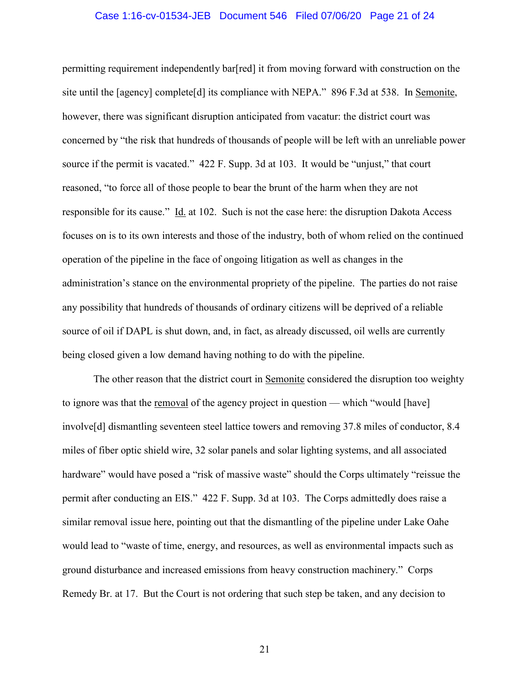#### Case 1:16-cv-01534-JEB Document 546 Filed 07/06/20 Page 21 of 24

permitting requirement independently bar[red] it from moving forward with construction on the site until the [agency] complete[d] its compliance with NEPA." 896 F.3d at 538. In Semonite, however, there was significant disruption anticipated from vacatur: the district court was concerned by "the risk that hundreds of thousands of people will be left with an unreliable power source if the permit is vacated." 422 F. Supp. 3d at 103. It would be "unjust," that court reasoned, "to force all of those people to bear the brunt of the harm when they are not responsible for its cause." Id. at 102. Such is not the case here: the disruption Dakota Access focuses on is to its own interests and those of the industry, both of whom relied on the continued operation of the pipeline in the face of ongoing litigation as well as changes in the administration's stance on the environmental propriety of the pipeline. The parties do not raise any possibility that hundreds of thousands of ordinary citizens will be deprived of a reliable source of oil if DAPL is shut down, and, in fact, as already discussed, oil wells are currently being closed given a low demand having nothing to do with the pipeline.

The other reason that the district court in Semonite considered the disruption too weighty to ignore was that the removal of the agency project in question — which "would [have] involve[d] dismantling seventeen steel lattice towers and removing 37.8 miles of conductor, 8.4 miles of fiber optic shield wire, 32 solar panels and solar lighting systems, and all associated hardware" would have posed a "risk of massive waste" should the Corps ultimately "reissue the permit after conducting an EIS." 422 F. Supp. 3d at 103. The Corps admittedly does raise a similar removal issue here, pointing out that the dismantling of the pipeline under Lake Oahe would lead to "waste of time, energy, and resources, as well as environmental impacts such as ground disturbance and increased emissions from heavy construction machinery." Corps Remedy Br. at 17. But the Court is not ordering that such step be taken, and any decision to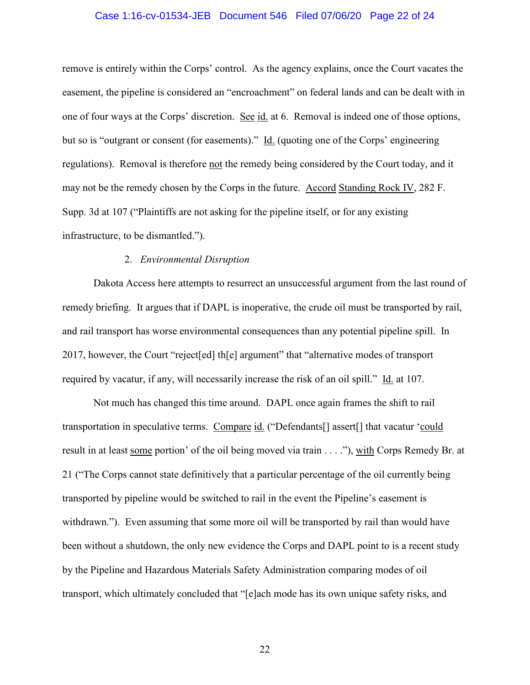### Case 1:16-cv-01534-JEB Document 546 Filed 07/06/20 Page 22 of 24

remove is entirely within the Corps' control. As the agency explains, once the Court vacates the easement, the pipeline is considered an "encroachment" on federal lands and can be dealt with in one of four ways at the Corps' discretion. See id. at 6. Removal is indeed one of those options, but so is "outgrant or consent (for easements)." Id. (quoting one of the Corps' engineering regulations). Removal is therefore not the remedy being considered by the Court today, and it may not be the remedy chosen by the Corps in the future. Accord Standing Rock IV, 282 F. Supp. 3d at 107 ("Plaintiffs are not asking for the pipeline itself, or for any existing infrastructure, to be dismantled.").

# 2. *Environmental Disruption*

Dakota Access here attempts to resurrect an unsuccessful argument from the last round of remedy briefing. It argues that if DAPL is inoperative, the crude oil must be transported by rail, and rail transport has worse environmental consequences than any potential pipeline spill. In 2017, however, the Court "reject[ed] th[e] argument" that "alternative modes of transport required by vacatur, if any, will necessarily increase the risk of an oil spill." Id. at 107.

Not much has changed this time around. DAPL once again frames the shift to rail transportation in speculative terms. Compare id. ("Defendants[] assert[] that vacatur 'could result in at least some portion' of the oil being moved via train . . . ."), with Corps Remedy Br. at 21 ("The Corps cannot state definitively that a particular percentage of the oil currently being transported by pipeline would be switched to rail in the event the Pipeline's easement is withdrawn."). Even assuming that some more oil will be transported by rail than would have been without a shutdown, the only new evidence the Corps and DAPL point to is a recent study by the Pipeline and Hazardous Materials Safety Administration comparing modes of oil transport, which ultimately concluded that "[e]ach mode has its own unique safety risks, and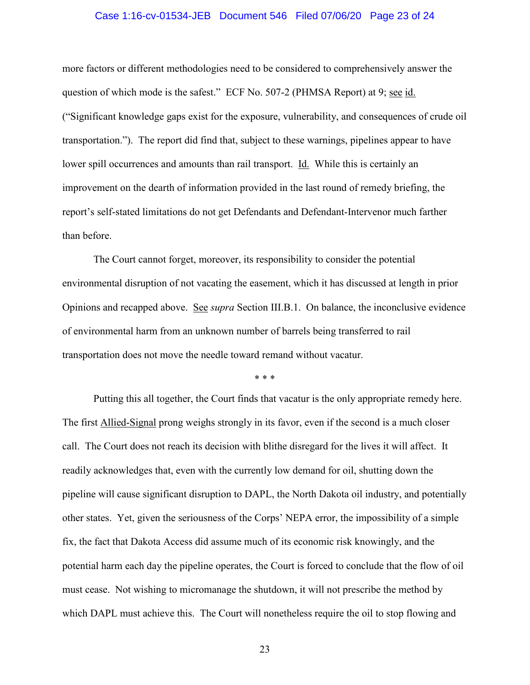#### Case 1:16-cv-01534-JEB Document 546 Filed 07/06/20 Page 23 of 24

more factors or different methodologies need to be considered to comprehensively answer the question of which mode is the safest." ECF No. 507-2 (PHMSA Report) at 9; see id. ("Significant knowledge gaps exist for the exposure, vulnerability, and consequences of crude oil transportation."). The report did find that, subject to these warnings, pipelines appear to have lower spill occurrences and amounts than rail transport. Id. While this is certainly an improvement on the dearth of information provided in the last round of remedy briefing, the report's self-stated limitations do not get Defendants and Defendant-Intervenor much farther than before.

The Court cannot forget, moreover, its responsibility to consider the potential environmental disruption of not vacating the easement, which it has discussed at length in prior Opinions and recapped above. See *supra* Section III.B.1. On balance, the inconclusive evidence of environmental harm from an unknown number of barrels being transferred to rail transportation does not move the needle toward remand without vacatur.

\* \* \*

Putting this all together, the Court finds that vacatur is the only appropriate remedy here. The first Allied-Signal prong weighs strongly in its favor, even if the second is a much closer call. The Court does not reach its decision with blithe disregard for the lives it will affect. It readily acknowledges that, even with the currently low demand for oil, shutting down the pipeline will cause significant disruption to DAPL, the North Dakota oil industry, and potentially other states. Yet, given the seriousness of the Corps' NEPA error, the impossibility of a simple fix, the fact that Dakota Access did assume much of its economic risk knowingly, and the potential harm each day the pipeline operates, the Court is forced to conclude that the flow of oil must cease. Not wishing to micromanage the shutdown, it will not prescribe the method by which DAPL must achieve this. The Court will nonetheless require the oil to stop flowing and